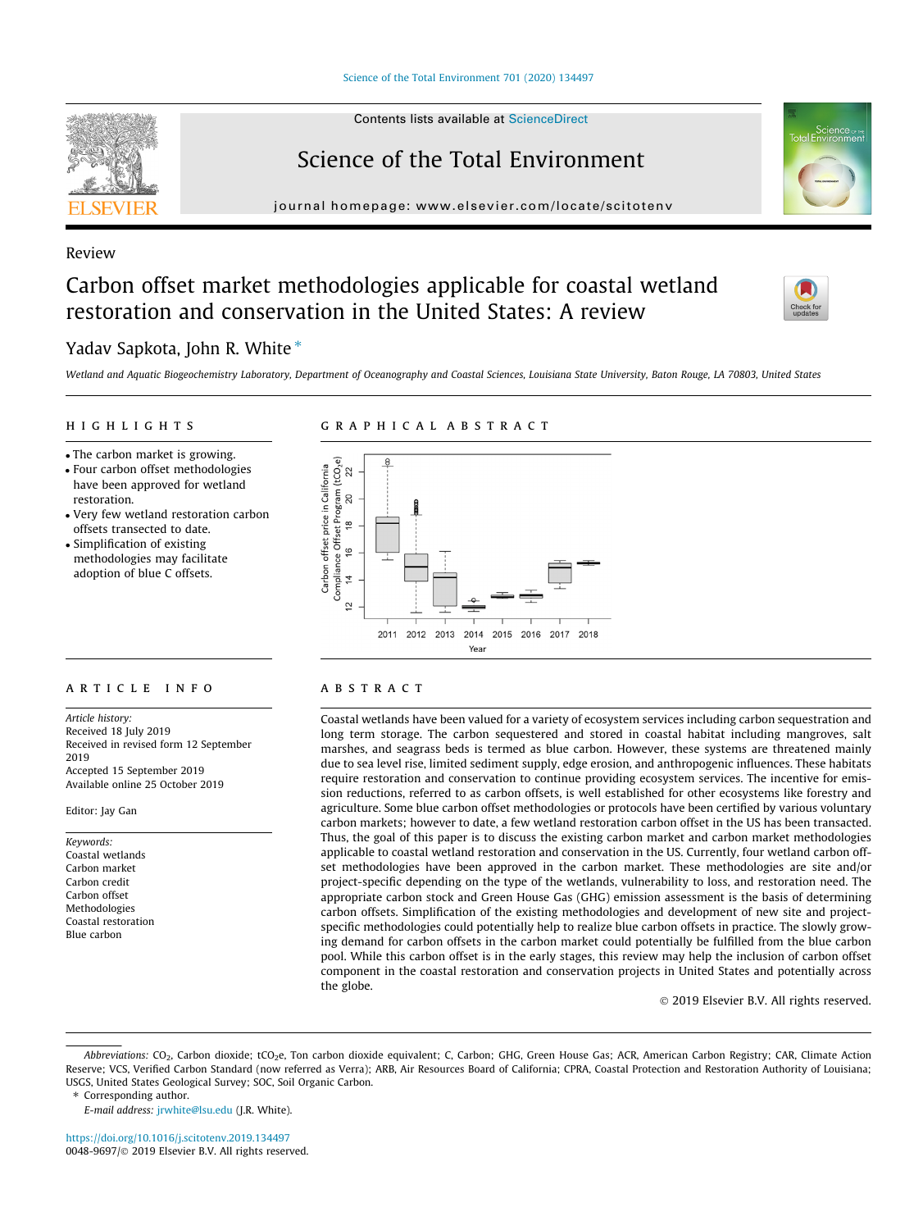

# Science of the Total Environment

journal homepage: [www.elsevier.com/locate/scitotenv](http://www.elsevier.com/locate/scitotenv)

## Review

# Carbon offset market methodologies applicable for coastal wetland restoration and conservation in the United States: A review

## Yadav Sapkota, John R. White  $*$

Wetland and Aquatic Biogeochemistry Laboratory, Department of Oceanography and Coastal Sciences, Louisiana State University, Baton Rouge, LA 70803, United States

#### **HIGHLIGHTS** highlights are the control of the control of

- The carbon market is growing.
- Four carbon offset methodologies
- have been approved for wetland restoration.
- Very few wetland restoration carbon offsets transected to date.
- Simplification of existing methodologies may facilitate adoption of blue C offsets.

# graphical abstracts and abstracts abstract abstracts and



Article history: Received 18 July 2019 Received in revised form 12 September 2019 Accepted 15 September 2019 Available online 25 October 2019

Editor: Jay Gan

Keywords: Coastal wetlands Carbon market Carbon credit Carbon offset Methodologies Coastal restoration Blue carbon

Coastal wetlands have been valued for a variety of ecosystem services including carbon sequestration and long term storage. The carbon sequestered and stored in coastal habitat including mangroves, salt marshes, and seagrass beds is termed as blue carbon. However, these systems are threatened mainly due to sea level rise, limited sediment supply, edge erosion, and anthropogenic influences. These habitats require restoration and conservation to continue providing ecosystem services. The incentive for emission reductions, referred to as carbon offsets, is well established for other ecosystems like forestry and agriculture. Some blue carbon offset methodologies or protocols have been certified by various voluntary carbon markets; however to date, a few wetland restoration carbon offset in the US has been transacted. Thus, the goal of this paper is to discuss the existing carbon market and carbon market methodologies applicable to coastal wetland restoration and conservation in the US. Currently, four wetland carbon offset methodologies have been approved in the carbon market. These methodologies are site and/or project-specific depending on the type of the wetlands, vulnerability to loss, and restoration need. The appropriate carbon stock and Green House Gas (GHG) emission assessment is the basis of determining carbon offsets. Simplification of the existing methodologies and development of new site and projectspecific methodologies could potentially help to realize blue carbon offsets in practice. The slowly growing demand for carbon offsets in the carbon market could potentially be fulfilled from the blue carbon pool. While this carbon offset is in the early stages, this review may help the inclusion of carbon offset component in the coastal restoration and conservation projects in United States and potentially across the globe.

2019 Elsevier B.V. All rights reserved.

- Abbreviations: CO<sub>2</sub>, Carbon dioxide; tCO<sub>2</sub>e, Ton carbon dioxide equivalent; C, Carbon; GHG, Green House Gas; ACR, American Carbon Registry; CAR, Climate Action Reserve; VCS, Verified Carbon Standard (now referred as Verra); ARB, Air Resources Board of California; CPRA, Coastal Protection and Restoration Authority of Louisiana; USGS, United States Geological Survey; SOC, Soil Organic Carbon.
- ⇑ Corresponding author.
	- E-mail address: [jrwhite@lsu.edu](mailto:jrwhite@lsu.edu) (J.R. White).

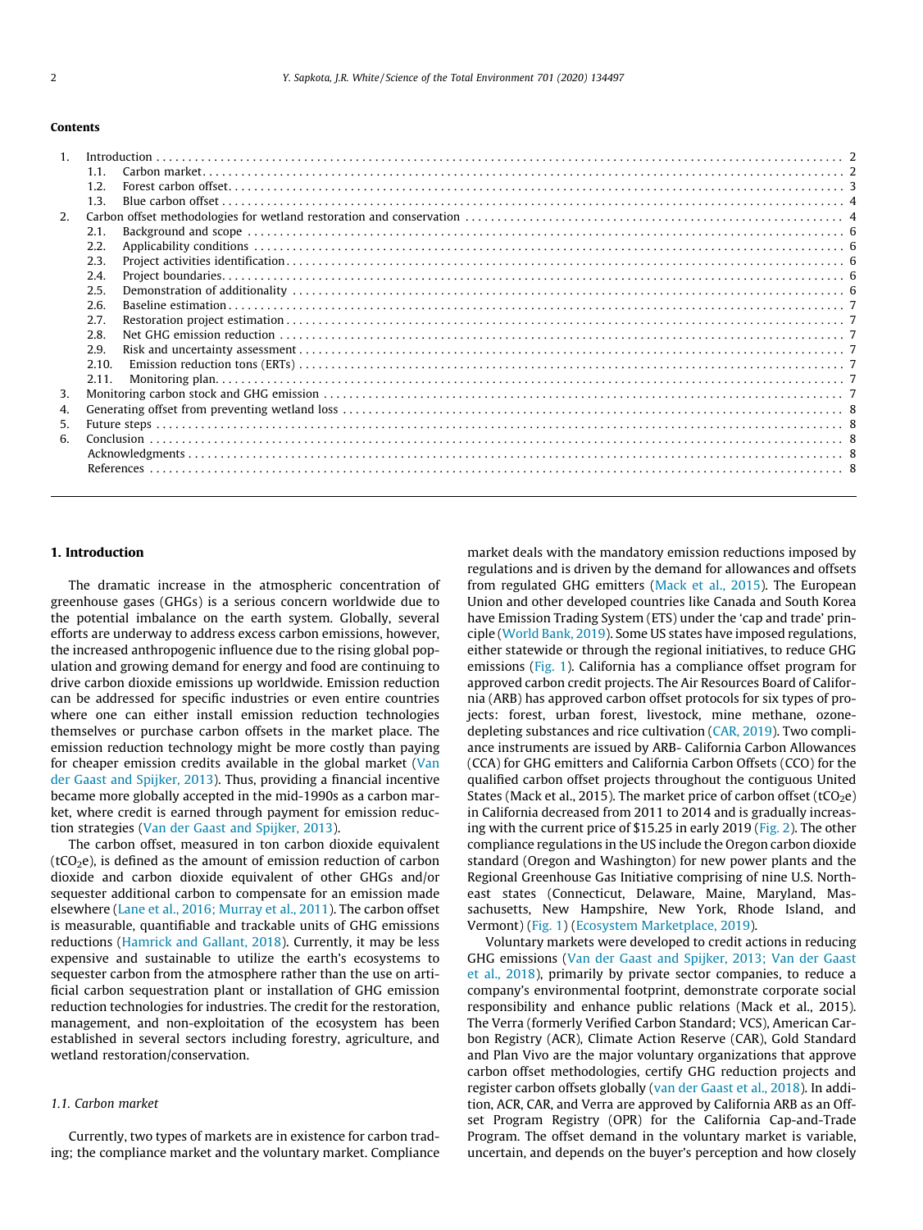#### Contents

| Introduction<br>1.1.<br>1.2.<br>1.3.<br>2.1.<br>2.2.<br>2.3.<br>2.4.<br>2.5.<br>2.6.<br>2.7.<br>2.8.<br>2.9.<br>2.10.<br>2.11. |
|--------------------------------------------------------------------------------------------------------------------------------|

#### 1. Introduction

The dramatic increase in the atmospheric concentration of greenhouse gases (GHGs) is a serious concern worldwide due to the potential imbalance on the earth system. Globally, several efforts are underway to address excess carbon emissions, however, the increased anthropogenic influence due to the rising global population and growing demand for energy and food are continuing to drive carbon dioxide emissions up worldwide. Emission reduction can be addressed for specific industries or even entire countries where one can either install emission reduction technologies themselves or purchase carbon offsets in the market place. The emission reduction technology might be more costly than paying for cheaper emission credits available in the global market [\(Van](#page-8-0) [der Gaast and Spijker, 2013\)](#page-8-0). Thus, providing a financial incentive became more globally accepted in the mid-1990s as a carbon market, where credit is earned through payment for emission reduction strategies ([Van der Gaast and Spijker, 2013\)](#page-8-0).

The carbon offset, measured in ton carbon dioxide equivalent ( $tCO<sub>2</sub>e$ ), is defined as the amount of emission reduction of carbon dioxide and carbon dioxide equivalent of other GHGs and/or sequester additional carbon to compensate for an emission made elsewhere [\(Lane et al., 2016; Murray et al., 2011](#page-8-0)). The carbon offset is measurable, quantifiable and trackable units of GHG emissions reductions ([Hamrick and Gallant, 2018\)](#page-8-0). Currently, it may be less expensive and sustainable to utilize the earth's ecosystems to sequester carbon from the atmosphere rather than the use on artificial carbon sequestration plant or installation of GHG emission reduction technologies for industries. The credit for the restoration, management, and non-exploitation of the ecosystem has been established in several sectors including forestry, agriculture, and wetland restoration/conservation.

#### 1.1. Carbon market

Currently, two types of markets are in existence for carbon trading; the compliance market and the voluntary market. Compliance market deals with the mandatory emission reductions imposed by regulations and is driven by the demand for allowances and offsets from regulated GHG emitters ([Mack et al., 2015\)](#page-8-0). The European Union and other developed countries like Canada and South Korea have Emission Trading System (ETS) under the 'cap and trade' principle [\(World Bank, 2019\)](#page-8-0). Some US states have imposed regulations, either statewide or through the regional initiatives, to reduce GHG emissions [\(Fig. 1\)](#page-2-0). California has a compliance offset program for approved carbon credit projects. The Air Resources Board of California (ARB) has approved carbon offset protocols for six types of projects: forest, urban forest, livestock, mine methane, ozonedepleting substances and rice cultivation [\(CAR, 2019](#page-7-0)). Two compliance instruments are issued by ARB- California Carbon Allowances (CCA) for GHG emitters and California Carbon Offsets (CCO) for the qualified carbon offset projects throughout the contiguous United States (Mack et al., 2015). The market price of carbon offset (tCO<sub>2</sub>e) in California decreased from 2011 to 2014 and is gradually increasing with the current price of \$15.25 in early 2019 [\(Fig. 2\)](#page-2-0). The other compliance regulations in the US include the Oregon carbon dioxide standard (Oregon and Washington) for new power plants and the Regional Greenhouse Gas Initiative comprising of nine U.S. Northeast states (Connecticut, Delaware, Maine, Maryland, Massachusetts, New Hampshire, New York, Rhode Island, and Vermont) [\(Fig. 1](#page-2-0)) ([Ecosystem Marketplace, 2019](#page-8-0)).

Voluntary markets were developed to credit actions in reducing GHG emissions [\(Van der Gaast and Spijker, 2013; Van der Gaast](#page-8-0) [et al., 2018\)](#page-8-0), primarily by private sector companies, to reduce a company's environmental footprint, demonstrate corporate social responsibility and enhance public relations (Mack et al., 2015). The Verra (formerly Verified Carbon Standard; VCS), American Carbon Registry (ACR), Climate Action Reserve (CAR), Gold Standard and Plan Vivo are the major voluntary organizations that approve carbon offset methodologies, certify GHG reduction projects and register carbon offsets globally [\(van der Gaast et al., 2018](#page-8-0)). In addition, ACR, CAR, and Verra are approved by California ARB as an Offset Program Registry (OPR) for the California Cap-and-Trade Program. The offset demand in the voluntary market is variable, uncertain, and depends on the buyer's perception and how closely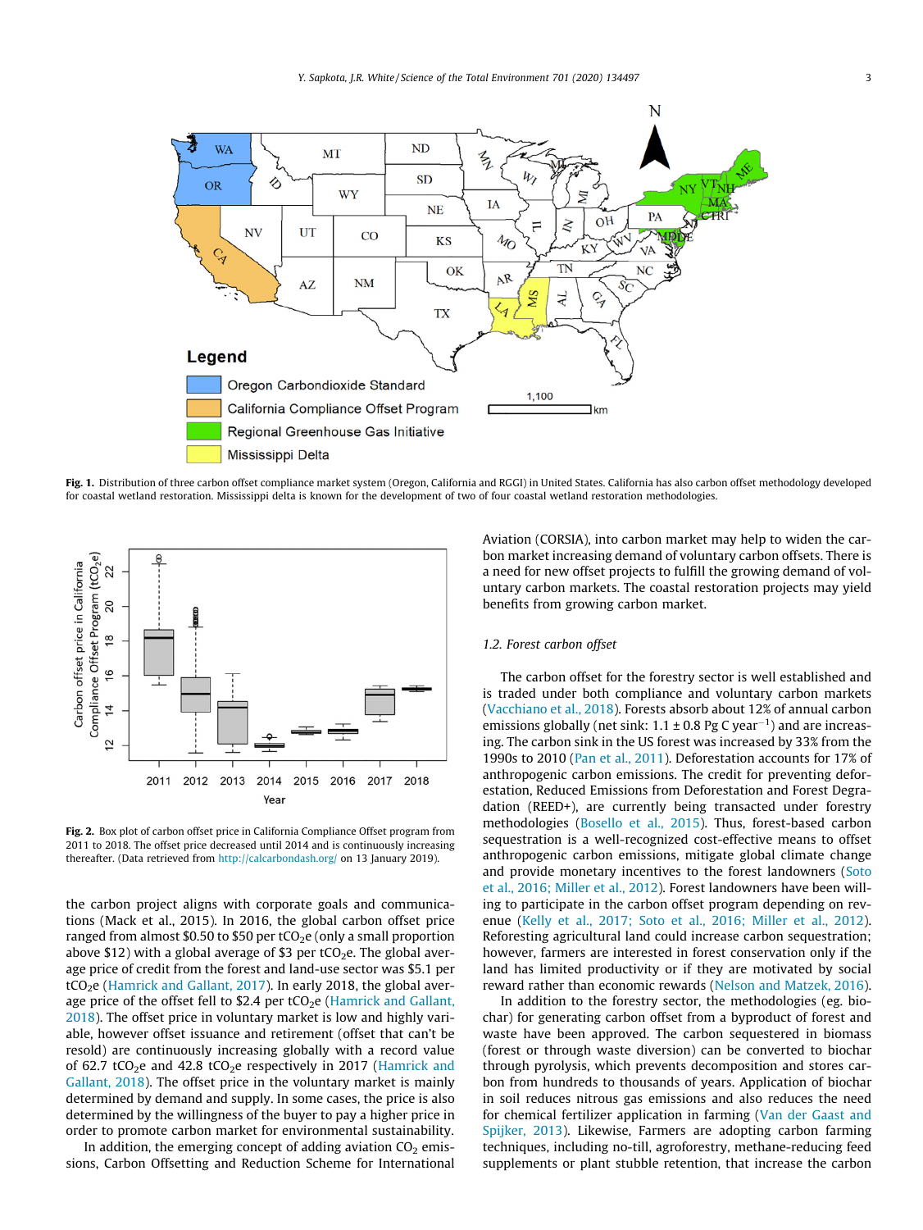<span id="page-2-0"></span>

Fig. 1. Distribution of three carbon offset compliance market system (Oregon, California and RGGI) in United States. California has also carbon offset methodology developed for coastal wetland restoration. Mississippi delta is known for the development of two of four coastal wetland restoration methodologies.



Fig. 2. Box plot of carbon offset price in California Compliance Offset program from 2011 to 2018. The offset price decreased until 2014 and is continuously increasing thereafter. (Data retrieved from <http://calcarbondash.org/> on 13 January 2019).

the carbon project aligns with corporate goals and communications (Mack et al., 2015). In 2016, the global carbon offset price ranged from almost \$0.50 to \$50 per  $tCO<sub>2</sub>e$  (only a small proportion above \$12) with a global average of \$3 per  $tCO<sub>2</sub>e$ . The global average price of credit from the forest and land-use sector was \$5.1 per tCO<sub>2</sub>e ([Hamrick and Gallant, 2017\)](#page-8-0). In early 2018, the global average price of the offset fell to  $$2.4$  per tCO<sub>2</sub>e [\(Hamrick and Gallant,](#page-8-0) [2018\)](#page-8-0). The offset price in voluntary market is low and highly variable, however offset issuance and retirement (offset that can't be resold) are continuously increasing globally with a record value of 62.7 tCO<sub>2</sub>e and 42.8 tCO<sub>2</sub>e respectively in 2017 [\(Hamrick and](#page-8-0) [Gallant, 2018](#page-8-0)). The offset price in the voluntary market is mainly determined by demand and supply. In some cases, the price is also determined by the willingness of the buyer to pay a higher price in order to promote carbon market for environmental sustainability.

In addition, the emerging concept of adding aviation  $CO<sub>2</sub>$  emissions, Carbon Offsetting and Reduction Scheme for International Aviation (CORSIA), into carbon market may help to widen the carbon market increasing demand of voluntary carbon offsets. There is a need for new offset projects to fulfill the growing demand of voluntary carbon markets. The coastal restoration projects may yield benefits from growing carbon market.

#### 1.2. Forest carbon offset

The carbon offset for the forestry sector is well established and is traded under both compliance and voluntary carbon markets ([Vacchiano et al., 2018](#page-8-0)). Forests absorb about 12% of annual carbon emissions globally (net sink:  $1.1 \pm 0.8$  Pg C year<sup>-1</sup>) and are increasing. The carbon sink in the US forest was increased by 33% from the 1990s to 2010 ([Pan et al., 2011\)](#page-8-0). Deforestation accounts for 17% of anthropogenic carbon emissions. The credit for preventing deforestation, Reduced Emissions from Deforestation and Forest Degradation (REED+), are currently being transacted under forestry methodologies ([Bosello et al., 2015\)](#page-7-0). Thus, forest-based carbon sequestration is a well-recognized cost-effective means to offset anthropogenic carbon emissions, mitigate global climate change and provide monetary incentives to the forest landowners [\(Soto](#page-8-0) [et al., 2016; Miller et al., 2012\)](#page-8-0). Forest landowners have been willing to participate in the carbon offset program depending on revenue [\(Kelly et al., 2017; Soto et al., 2016; Miller et al., 2012\)](#page-8-0). Reforesting agricultural land could increase carbon sequestration; however, farmers are interested in forest conservation only if the land has limited productivity or if they are motivated by social reward rather than economic rewards [\(Nelson and Matzek, 2016\)](#page-8-0).

In addition to the forestry sector, the methodologies (eg. biochar) for generating carbon offset from a byproduct of forest and waste have been approved. The carbon sequestered in biomass (forest or through waste diversion) can be converted to biochar through pyrolysis, which prevents decomposition and stores carbon from hundreds to thousands of years. Application of biochar in soil reduces nitrous gas emissions and also reduces the need for chemical fertilizer application in farming ([Van der Gaast and](#page-8-0) [Spijker, 2013](#page-8-0)). Likewise, Farmers are adopting carbon farming techniques, including no-till, agroforestry, methane-reducing feed supplements or plant stubble retention, that increase the carbon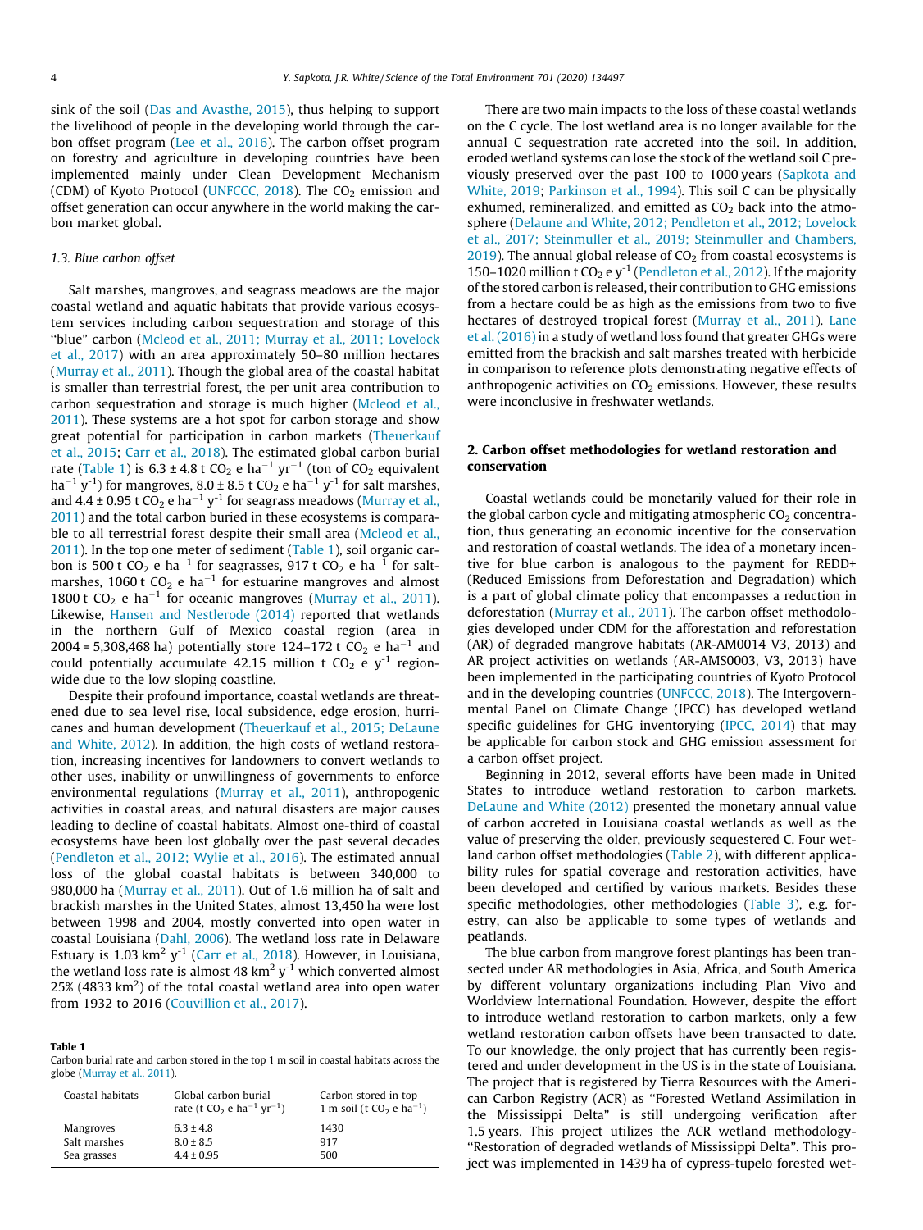sink of the soil ([Das and Avasthe, 2015\)](#page-8-0), thus helping to support the livelihood of people in the developing world through the carbon offset program [\(Lee et al., 2016\)](#page-8-0). The carbon offset program on forestry and agriculture in developing countries have been implemented mainly under Clean Development Mechanism (CDM) of Kyoto Protocol [\(UNFCCC, 2018\)](#page-8-0). The  $CO<sub>2</sub>$  emission and offset generation can occur anywhere in the world making the carbon market global.

#### 1.3. Blue carbon offset

Salt marshes, mangroves, and seagrass meadows are the major coastal wetland and aquatic habitats that provide various ecosystem services including carbon sequestration and storage of this ''blue" carbon [\(Mcleod et al., 2011; Murray et al., 2011; Lovelock](#page-8-0) [et al., 2017](#page-8-0)) with an area approximately 50–80 million hectares ([Murray et al., 2011\)](#page-8-0). Though the global area of the coastal habitat is smaller than terrestrial forest, the per unit area contribution to carbon sequestration and storage is much higher [\(Mcleod et al.,](#page-8-0) [2011\)](#page-8-0). These systems are a hot spot for carbon storage and show great potential for participation in carbon markets [\(Theuerkauf](#page-8-0) [et al., 2015](#page-8-0); [Carr et al., 2018](#page-7-0)). The estimated global carbon burial rate (Table 1) is  $6.3 \pm 4.8$  t CO<sub>2</sub> e ha<sup>-1</sup> yr<sup>-1</sup> (ton of CO<sub>2</sub> equivalent ha<sup>-1</sup> y<sup>-1</sup>) for mangroves,  $8.0 \pm 8.5$  t CO<sub>2</sub> e ha<sup>-1</sup> y<sup>-1</sup> for salt marshes, and 4.4  $\pm$  0.95 t CO<sub>2</sub> e ha<sup>-1</sup> y<sup>-1</sup> for seagrass meadows ([Murray et al.,](#page-8-0) [2011\)](#page-8-0) and the total carbon buried in these ecosystems is comparable to all terrestrial forest despite their small area [\(Mcleod et al.,](#page-8-0) [2011\)](#page-8-0). In the top one meter of sediment (Table 1), soil organic carbon is 500 t CO<sub>2</sub> e ha<sup>-1</sup> for seagrasses, 917 t CO<sub>2</sub> e ha<sup>-1</sup> for saltmarshes, 1060 t  $CO<sub>2</sub>$  e ha<sup>-1</sup> for estuarine mangroves and almost 1800 t CO<sub>2</sub> e ha<sup>-1</sup> for oceanic mangroves ([Murray et al., 2011\)](#page-8-0). Likewise, [Hansen and Nestlerode \(2014\)](#page-8-0) reported that wetlands in the northern Gulf of Mexico coastal region (area in 2004 = 5,308,468 ha) potentially store 124-172 t  $CO_2$  e ha<sup>-1</sup> and could potentially accumulate 42.15 million t  $CO<sub>2</sub>$  e y<sup>-1</sup> regionwide due to the low sloping coastline.

Despite their profound importance, coastal wetlands are threatened due to sea level rise, local subsidence, edge erosion, hurricanes and human development ([Theuerkauf et al., 2015; DeLaune](#page-8-0) [and White, 2012](#page-8-0)). In addition, the high costs of wetland restoration, increasing incentives for landowners to convert wetlands to other uses, inability or unwillingness of governments to enforce environmental regulations [\(Murray et al., 2011](#page-8-0)), anthropogenic activities in coastal areas, and natural disasters are major causes leading to decline of coastal habitats. Almost one-third of coastal ecosystems have been lost globally over the past several decades ([Pendleton et al., 2012; Wylie et al., 2016](#page-8-0)). The estimated annual loss of the global coastal habitats is between 340,000 to 980,000 ha ([Murray et al., 2011](#page-8-0)). Out of 1.6 million ha of salt and brackish marshes in the United States, almost 13,450 ha were lost between 1998 and 2004, mostly converted into open water in coastal Louisiana [\(Dahl, 2006\)](#page-8-0). The wetland loss rate in Delaware Estuary is 1.03  $km^2$  y<sup>-1</sup> ([Carr et al., 2018\)](#page-7-0). However, in Louisiana, the wetland loss rate is almost 48  $km^2$  y<sup>-1</sup> which converted almost 25% (4833 km<sup>2</sup>) of the total coastal wetland area into open water from 1932 to 2016 [\(Couvillion et al., 2017](#page-8-0)).

#### Table 1

Carbon burial rate and carbon stored in the top 1 m soil in coastal habitats across the globe [\(Murray et al., 2011](#page-8-0)).

| 1 m soil (t $CO_2$ e ha <sup>-1</sup> )<br>rate (t CO <sub>2</sub> e ha <sup>-1</sup> yr <sup>-1</sup> ) |
|----------------------------------------------------------------------------------------------------------|
| 1430<br>917<br>500                                                                                       |
|                                                                                                          |

There are two main impacts to the loss of these coastal wetlands on the C cycle. The lost wetland area is no longer available for the annual C sequestration rate accreted into the soil. In addition, eroded wetland systems can lose the stock of the wetland soil C pre-viously preserved over the past 100 to 1000 years [\(Sapkota and](#page-8-0) [White, 2019;](#page-8-0) [Parkinson et al., 1994\)](#page-8-0). This soil C can be physically exhumed, remineralized, and emitted as  $CO<sub>2</sub>$  back into the atmosphere [\(Delaune and White, 2012; Pendleton et al., 2012; Lovelock](#page-8-0) [et al., 2017; Steinmuller et al., 2019; Steinmuller and Chambers,](#page-8-0)  $2019$ ). The annual global release of  $CO<sub>2</sub>$  from coastal ecosystems is 150–1020 million t  $CO_2$  e y<sup>-1</sup> [\(Pendleton et al., 2012\)](#page-8-0). If the majority of the stored carbon is released, their contribution to GHG emissions from a hectare could be as high as the emissions from two to five hectares of destroyed tropical forest [\(Murray et al., 2011\)](#page-8-0). [Lane](#page-8-0) [et al. \(2016\)](#page-8-0) in a study of wetland loss found that greater GHGs were emitted from the brackish and salt marshes treated with herbicide in comparison to reference plots demonstrating negative effects of anthropogenic activities on  $CO<sub>2</sub>$  emissions. However, these results were inconclusive in freshwater wetlands.

#### 2. Carbon offset methodologies for wetland restoration and conservation

Coastal wetlands could be monetarily valued for their role in the global carbon cycle and mitigating atmospheric  $CO<sub>2</sub>$  concentration, thus generating an economic incentive for the conservation and restoration of coastal wetlands. The idea of a monetary incentive for blue carbon is analogous to the payment for REDD+ (Reduced Emissions from Deforestation and Degradation) which is a part of global climate policy that encompasses a reduction in deforestation ([Murray et al., 2011](#page-8-0)). The carbon offset methodologies developed under CDM for the afforestation and reforestation (AR) of degraded mangrove habitats (AR-AM0014 V3, 2013) and AR project activities on wetlands (AR-AMS0003, V3, 2013) have been implemented in the participating countries of Kyoto Protocol and in the developing countries [\(UNFCCC, 2018\)](#page-8-0). The Intergovernmental Panel on Climate Change (IPCC) has developed wetland specific guidelines for GHG inventorying [\(IPCC, 2014](#page-8-0)) that may be applicable for carbon stock and GHG emission assessment for a carbon offset project.

Beginning in 2012, several efforts have been made in United States to introduce wetland restoration to carbon markets. [DeLaune and White \(2012\)](#page-8-0) presented the monetary annual value of carbon accreted in Louisiana coastal wetlands as well as the value of preserving the older, previously sequestered C. Four wetland carbon offset methodologies [\(Table 2\)](#page-4-0), with different applicability rules for spatial coverage and restoration activities, have been developed and certified by various markets. Besides these specific methodologies, other methodologies [\(Table 3\)](#page-4-0), e.g. forestry, can also be applicable to some types of wetlands and peatlands.

The blue carbon from mangrove forest plantings has been transected under AR methodologies in Asia, Africa, and South America by different voluntary organizations including Plan Vivo and Worldview International Foundation. However, despite the effort to introduce wetland restoration to carbon markets, only a few wetland restoration carbon offsets have been transacted to date. To our knowledge, the only project that has currently been registered and under development in the US is in the state of Louisiana. The project that is registered by Tierra Resources with the American Carbon Registry (ACR) as ''Forested Wetland Assimilation in the Mississippi Delta" is still undergoing verification after 1.5 years. This project utilizes the ACR wetland methodology- ''Restoration of degraded wetlands of Mississippi Delta". This project was implemented in 1439 ha of cypress-tupelo forested wet-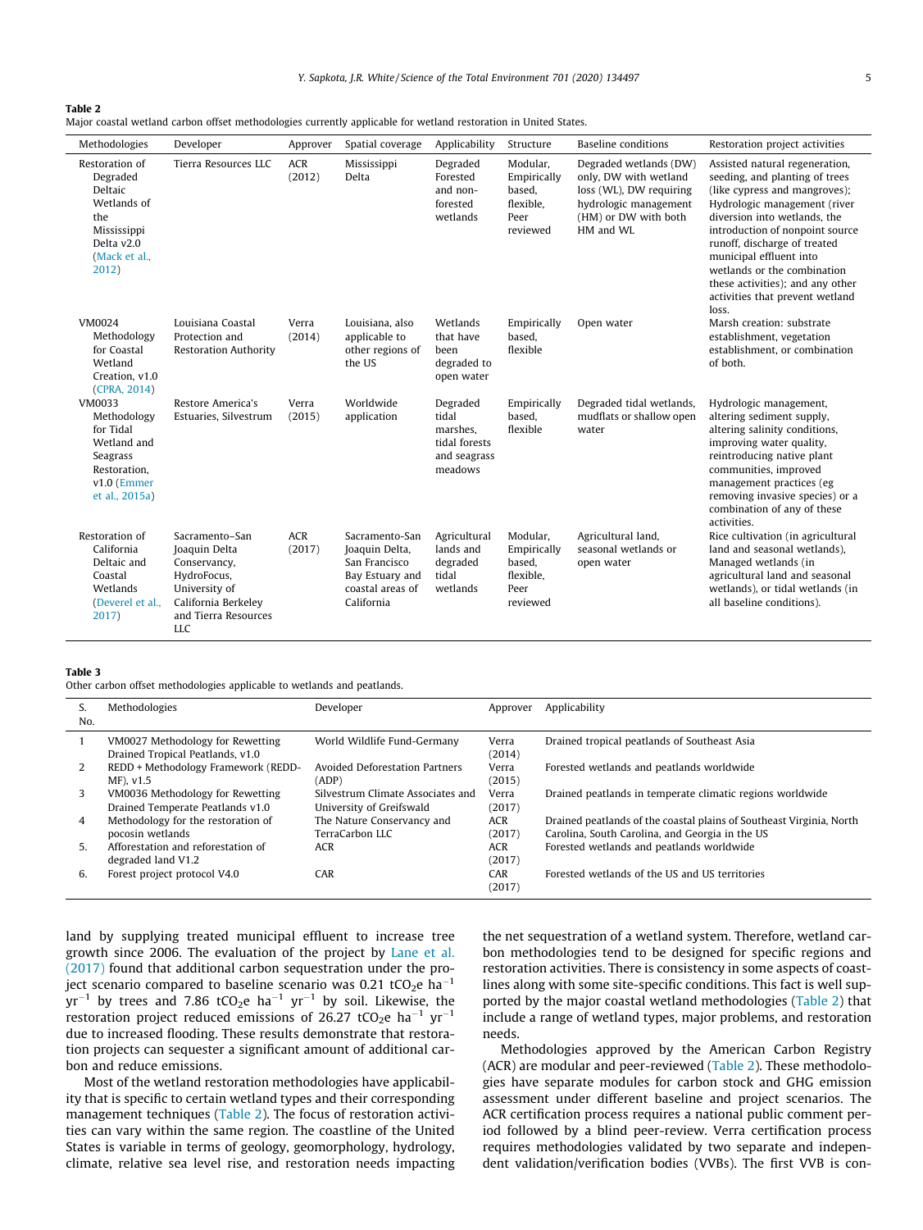#### <span id="page-4-0"></span>Table 2

|  |  | Major coastal wetland carbon offset methodologies currently applicable for wetland restoration in United States. |  |  |  |  |
|--|--|------------------------------------------------------------------------------------------------------------------|--|--|--|--|
|  |  |                                                                                                                  |  |  |  |  |
|  |  |                                                                                                                  |  |  |  |  |
|  |  |                                                                                                                  |  |  |  |  |

| Methodologies                                                                                                      | Developer                                                                                                                                    | Approver             | Spatial coverage                                                                                       | Applicability                                                             | Structure                                                          | <b>Baseline</b> conditions                                                                                                               | Restoration project activities                                                                                                                                                                                                                                                                                                                                                 |
|--------------------------------------------------------------------------------------------------------------------|----------------------------------------------------------------------------------------------------------------------------------------------|----------------------|--------------------------------------------------------------------------------------------------------|---------------------------------------------------------------------------|--------------------------------------------------------------------|------------------------------------------------------------------------------------------------------------------------------------------|--------------------------------------------------------------------------------------------------------------------------------------------------------------------------------------------------------------------------------------------------------------------------------------------------------------------------------------------------------------------------------|
| Restoration of<br>Degraded<br>Deltaic<br>Wetlands of<br>the<br>Mississippi<br>Delta v2.0<br>(Mack et al.,<br>2012) | Tierra Resources LLC                                                                                                                         | <b>ACR</b><br>(2012) | Mississippi<br>Delta                                                                                   | Degraded<br>Forested<br>and non-<br>forested<br>wetlands                  | Modular,<br>Empirically<br>based,<br>flexible.<br>Peer<br>reviewed | Degraded wetlands (DW)<br>only, DW with wetland<br>loss (WL), DW requiring<br>hydrologic management<br>(HM) or DW with both<br>HM and WL | Assisted natural regeneration,<br>seeding, and planting of trees<br>(like cypress and mangroves);<br>Hydrologic management (river<br>diversion into wetlands, the<br>introduction of nonpoint source<br>runoff, discharge of treated<br>municipal effluent into<br>wetlands or the combination<br>these activities); and any other<br>activities that prevent wetland<br>loss. |
| VM0024<br>Methodology<br>for Coastal<br>Wetland<br>Creation, v1.0<br>(CPRA, 2014)                                  | Louisiana Coastal<br>Protection and<br><b>Restoration Authority</b>                                                                          | Verra<br>(2014)      | Louisiana, also<br>applicable to<br>other regions of<br>the US                                         | Wetlands<br>that have<br>been<br>degraded to<br>open water                | Empirically<br>based,<br>flexible                                  | Open water                                                                                                                               | Marsh creation: substrate<br>establishment, vegetation<br>establishment, or combination<br>of both.                                                                                                                                                                                                                                                                            |
| VM0033<br>Methodology<br>for Tidal<br>Wetland and<br>Seagrass<br>Restoration,<br>$v1.0$ (Emmer<br>et al., 2015a)   | Restore America's<br>Estuaries, Silvestrum                                                                                                   | Verra<br>(2015)      | Worldwide<br>application                                                                               | Degraded<br>tidal<br>marshes.<br>tidal forests<br>and seagrass<br>meadows | Empirically<br>based,<br>flexible                                  | Degraded tidal wetlands,<br>mudflats or shallow open<br>water                                                                            | Hydrologic management,<br>altering sediment supply,<br>altering salinity conditions,<br>improving water quality,<br>reintroducing native plant<br>communities, improved<br>management practices (eg<br>removing invasive species) or a<br>combination of any of these<br>activities.                                                                                           |
| Restoration of<br>California<br>Deltaic and<br>Coastal<br>Wetlands<br>(Deverel et al.,<br>2017)                    | Sacramento-San<br>Joaquin Delta<br>Conservancy,<br>HydroFocus,<br>University of<br>California Berkeley<br>and Tierra Resources<br><b>LLC</b> | <b>ACR</b><br>(2017) | Sacramento-San<br>Joaquin Delta,<br>San Francisco<br>Bay Estuary and<br>coastal areas of<br>California | Agricultural<br>lands and<br>degraded<br>tidal<br>wetlands                | Modular,<br>Empirically<br>based,<br>flexible,<br>Peer<br>reviewed | Agricultural land,<br>seasonal wetlands or<br>open water                                                                                 | Rice cultivation (in agricultural<br>land and seasonal wetlands),<br>Managed wetlands (in<br>agricultural land and seasonal<br>wetlands), or tidal wetlands (in<br>all baseline conditions).                                                                                                                                                                                   |

#### Table 3

Other carbon offset methodologies applicable to wetlands and peatlands.

| ь.<br>No. | Methodologies                                                        | Developer                                                     | Approver             | Applicability                                                                                                           |
|-----------|----------------------------------------------------------------------|---------------------------------------------------------------|----------------------|-------------------------------------------------------------------------------------------------------------------------|
|           | VM0027 Methodology for Rewetting<br>Drained Tropical Peatlands, v1.0 | World Wildlife Fund-Germany                                   | Verra<br>(2014)      | Drained tropical peatlands of Southeast Asia                                                                            |
| 2         | REDD + Methodology Framework (REDD-<br>$MF)$ , $v1.5$                | <b>Avoided Deforestation Partners</b><br>(ADP)                | Verra<br>(2015)      | Forested wetlands and peatlands worldwide                                                                               |
| 3         | VM0036 Methodology for Rewetting<br>Drained Temperate Peatlands v1.0 | Silvestrum Climate Associates and<br>University of Greifswald | Verra<br>(2017)      | Drained peatlands in temperate climatic regions worldwide                                                               |
| 4         | Methodology for the restoration of<br>pocosin wetlands               | The Nature Conservancy and<br>TerraCarbon LLC                 | <b>ACR</b><br>(2017) | Drained peatlands of the coastal plains of Southeast Virginia, North<br>Carolina, South Carolina, and Georgia in the US |
| 5.        | Afforestation and reforestation of<br>degraded land V1.2             | <b>ACR</b>                                                    | <b>ACR</b><br>(2017) | Forested wetlands and peatlands worldwide                                                                               |
| 6.        | Forest project protocol V4.0                                         | CAR                                                           | CAR<br>(2017)        | Forested wetlands of the US and US territories                                                                          |

land by supplying treated municipal effluent to increase tree growth since 2006. The evaluation of the project by [Lane et al.](#page-8-0) [\(2017\)](#page-8-0) found that additional carbon sequestration under the project scenario compared to baseline scenario was 0.21 tCO<sub>2</sub>e ha<sup>-1</sup>  $yr^{-1}$  by trees and 7.86 tCO<sub>2</sub>e ha<sup>-1</sup> yr<sup>-1</sup> by soil. Likewise, the restoration project reduced emissions of 26.27 tCO<sub>2</sub>e ha<sup>-1</sup> yr<sup>-1</sup> due to increased flooding. These results demonstrate that restoration projects can sequester a significant amount of additional carbon and reduce emissions.

Most of the wetland restoration methodologies have applicability that is specific to certain wetland types and their corresponding management techniques (Table 2). The focus of restoration activities can vary within the same region. The coastline of the United States is variable in terms of geology, geomorphology, hydrology, climate, relative sea level rise, and restoration needs impacting the net sequestration of a wetland system. Therefore, wetland carbon methodologies tend to be designed for specific regions and restoration activities. There is consistency in some aspects of coastlines along with some site-specific conditions. This fact is well supported by the major coastal wetland methodologies (Table 2) that include a range of wetland types, major problems, and restoration needs.

Methodologies approved by the American Carbon Registry (ACR) are modular and peer-reviewed (Table 2). These methodologies have separate modules for carbon stock and GHG emission assessment under different baseline and project scenarios. The ACR certification process requires a national public comment period followed by a blind peer-review. Verra certification process requires methodologies validated by two separate and independent validation/verification bodies (VVBs). The first VVB is con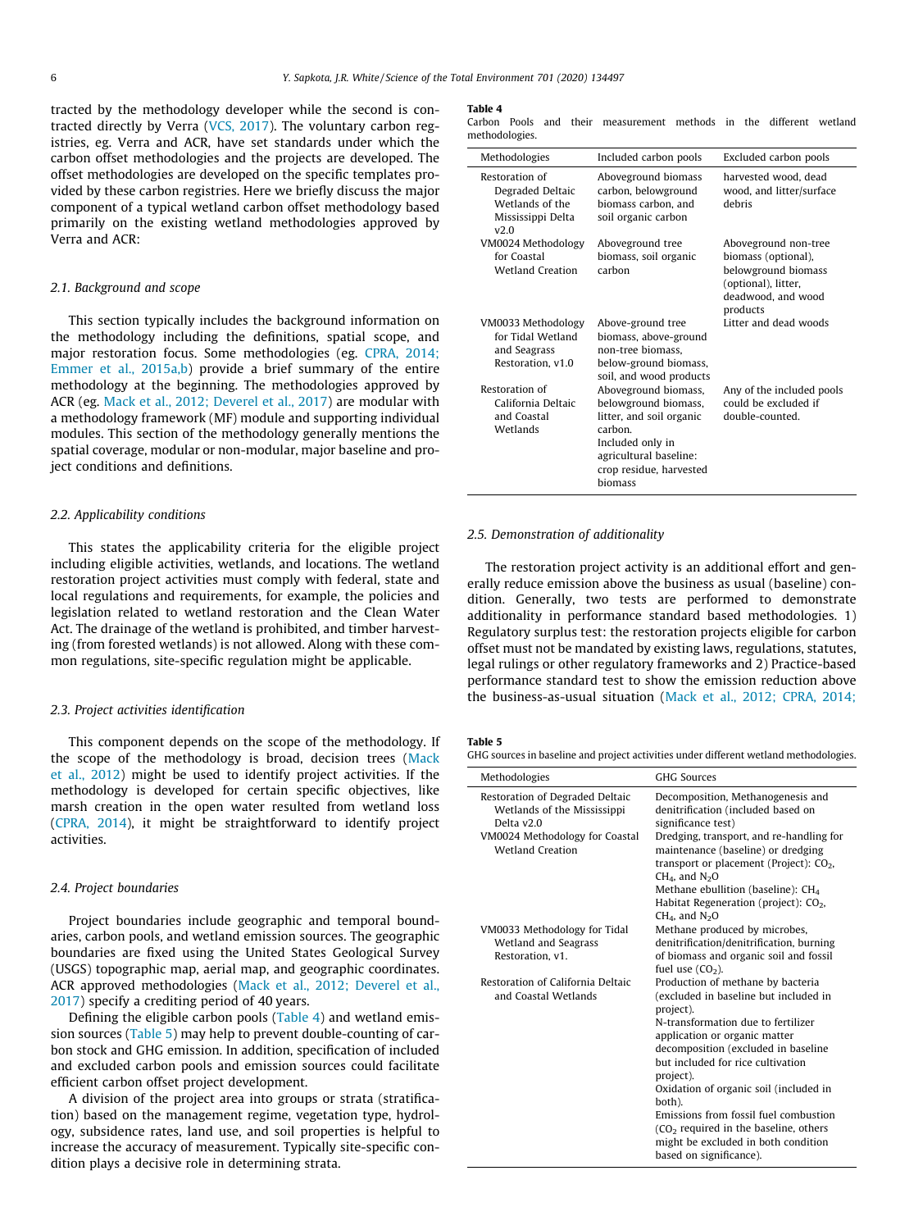<span id="page-5-0"></span>tracted by the methodology developer while the second is contracted directly by Verra ([VCS, 2017\)](#page-8-0). The voluntary carbon registries, eg. Verra and ACR, have set standards under which the carbon offset methodologies and the projects are developed. The offset methodologies are developed on the specific templates provided by these carbon registries. Here we briefly discuss the major component of a typical wetland carbon offset methodology based primarily on the existing wetland methodologies approved by Verra and ACR:

### 2.1. Background and scope

This section typically includes the background information on the methodology including the definitions, spatial scope, and major restoration focus. Some methodologies (eg. [CPRA, 2014;](#page-8-0) [Emmer et al., 2015a,b](#page-8-0)) provide a brief summary of the entire methodology at the beginning. The methodologies approved by ACR (eg. [Mack et al., 2012; Deverel et al., 2017\)](#page-8-0) are modular with a methodology framework (MF) module and supporting individual modules. This section of the methodology generally mentions the spatial coverage, modular or non-modular, major baseline and project conditions and definitions.

#### 2.2. Applicability conditions

This states the applicability criteria for the eligible project including eligible activities, wetlands, and locations. The wetland restoration project activities must comply with federal, state and local regulations and requirements, for example, the policies and legislation related to wetland restoration and the Clean Water Act. The drainage of the wetland is prohibited, and timber harvesting (from forested wetlands) is not allowed. Along with these common regulations, site-specific regulation might be applicable.

#### 2.3. Project activities identification

This component depends on the scope of the methodology. If the scope of the methodology is broad, decision trees [\(Mack](#page-8-0) [et al., 2012\)](#page-8-0) might be used to identify project activities. If the methodology is developed for certain specific objectives, like marsh creation in the open water resulted from wetland loss ([CPRA, 2014\)](#page-8-0), it might be straightforward to identify project activities.

#### 2.4. Project boundaries

Project boundaries include geographic and temporal boundaries, carbon pools, and wetland emission sources. The geographic boundaries are fixed using the United States Geological Survey (USGS) topographic map, aerial map, and geographic coordinates. ACR approved methodologies ([Mack et al., 2012; Deverel et al.,](#page-8-0) [2017\)](#page-8-0) specify a crediting period of 40 years.

Defining the eligible carbon pools (Table 4) and wetland emission sources (Table 5) may help to prevent double-counting of carbon stock and GHG emission. In addition, specification of included and excluded carbon pools and emission sources could facilitate efficient carbon offset project development.

A division of the project area into groups or strata (stratification) based on the management regime, vegetation type, hydrology, subsidence rates, land use, and soil properties is helpful to increase the accuracy of measurement. Typically site-specific condition plays a decisive role in determining strata.

#### Table 4

Carbon Pools and their measurement methods in the different wetland methodologies.

| Methodologies                                                                      | Included carbon pools                                                                                                                                                   | Excluded carbon pools                                                                                                       |
|------------------------------------------------------------------------------------|-------------------------------------------------------------------------------------------------------------------------------------------------------------------------|-----------------------------------------------------------------------------------------------------------------------------|
| Restoration of<br>Degraded Deltaic<br>Wetlands of the<br>Mississippi Delta<br>v2.0 | Aboveground biomass<br>carbon, belowground<br>biomass carbon, and<br>soil organic carbon                                                                                | harvested wood, dead<br>wood, and litter/surface<br>debris                                                                  |
| VM0024 Methodology<br>for Coastal<br><b>Wetland Creation</b>                       | Aboveground tree<br>biomass, soil organic<br>carbon                                                                                                                     | Aboveground non-tree<br>biomass (optional),<br>belowground biomass<br>(optional), litter,<br>deadwood, and wood<br>products |
| VM0033 Methodology<br>for Tidal Wetland<br>and Seagrass<br>Restoration, v1.0       | Above-ground tree<br>biomass, above-ground<br>non-tree biomass,<br>below-ground biomass,<br>soil, and wood products                                                     | Litter and dead woods                                                                                                       |
| Restoration of<br>California Deltaic<br>and Coastal<br>Wetlands                    | Aboveground biomass,<br>belowground biomass,<br>litter, and soil organic<br>carbon.<br>Included only in<br>agricultural baseline:<br>crop residue, harvested<br>biomass | Any of the included pools<br>could be excluded if<br>double-counted.                                                        |

#### 2.5. Demonstration of additionality

The restoration project activity is an additional effort and generally reduce emission above the business as usual (baseline) condition. Generally, two tests are performed to demonstrate additionality in performance standard based methodologies. 1) Regulatory surplus test: the restoration projects eligible for carbon offset must not be mandated by existing laws, regulations, statutes, legal rulings or other regulatory frameworks and 2) Practice-based performance standard test to show the emission reduction above the business-as-usual situation [\(Mack et al., 2012; CPRA, 2014;](#page-8-0)

#### Table 5

GHG sources in baseline and project activities under different wetland methodologies.

| <b>GHG Sources</b>                                                                                                                                                                                                                                                                                                                                                                                                                      |
|-----------------------------------------------------------------------------------------------------------------------------------------------------------------------------------------------------------------------------------------------------------------------------------------------------------------------------------------------------------------------------------------------------------------------------------------|
| Decomposition, Methanogenesis and<br>denitrification (included based on<br>significance test)                                                                                                                                                                                                                                                                                                                                           |
| Dredging, transport, and re-handling for<br>maintenance (baseline) or dredging<br>transport or placement (Project): $CO2$ ,<br>$CH4$ , and $N2O$<br>Methane ebullition (baseline): $CH4$<br>Habitat Regeneration (project): $CO2$ ,                                                                                                                                                                                                     |
| $CH4$ , and $N2O$<br>Methane produced by microbes,<br>denitrification/denitrification, burning<br>of biomass and organic soil and fossil<br>fuel use $(CO2)$ .                                                                                                                                                                                                                                                                          |
| Production of methane by bacteria<br>(excluded in baseline but included in<br>project).<br>N-transformation due to fertilizer<br>application or organic matter<br>decomposition (excluded in baseline<br>but included for rice cultivation<br>project).<br>Oxidation of organic soil (included in<br>both).<br>Emissions from fossil fuel combustion<br>$(CO2)$ required in the baseline, others<br>might be excluded in both condition |
|                                                                                                                                                                                                                                                                                                                                                                                                                                         |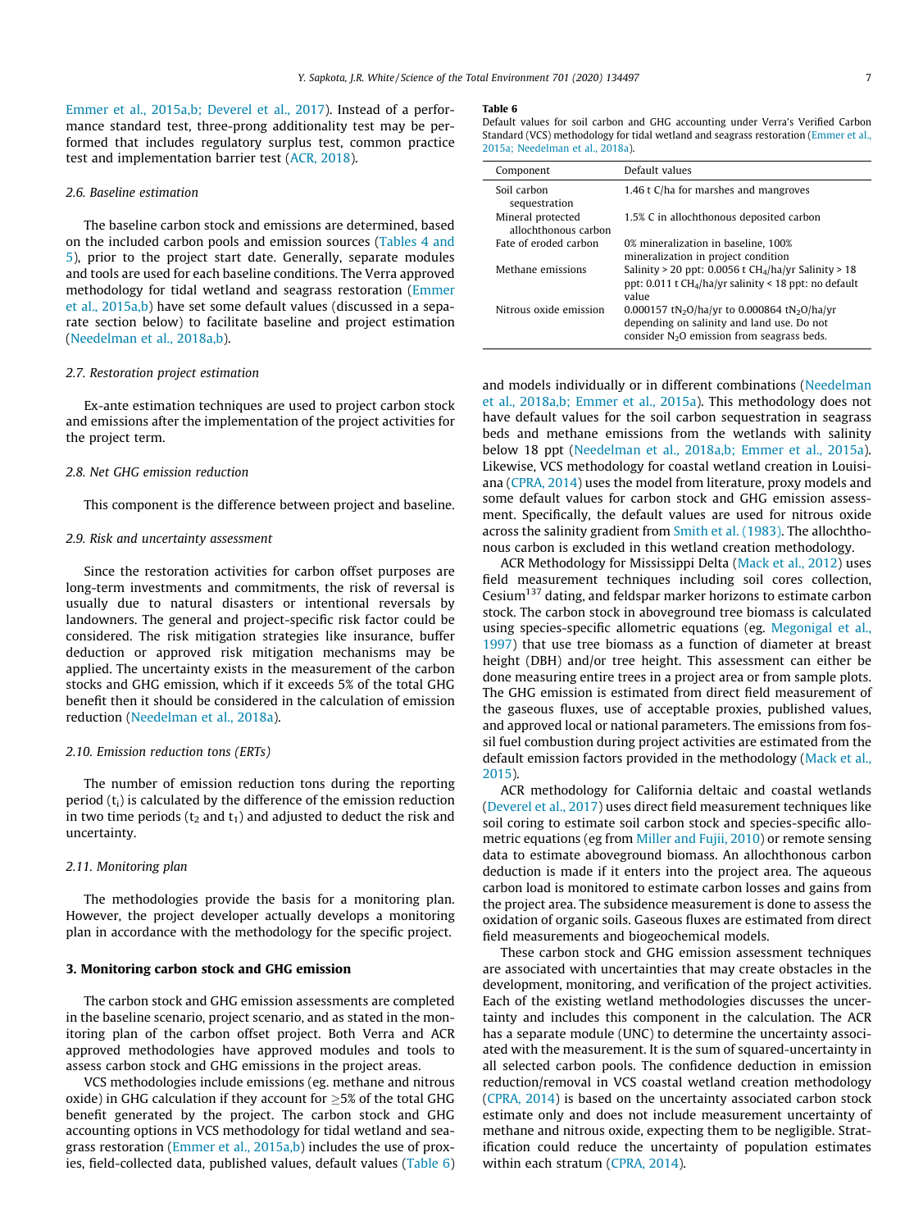[Emmer et al., 2015a,b; Deverel et al., 2017\)](#page-8-0). Instead of a performance standard test, three-prong additionality test may be performed that includes regulatory surplus test, common practice test and implementation barrier test [\(ACR, 2018](#page-7-0)).

#### 2.6. Baseline estimation

The baseline carbon stock and emissions are determined, based on the included carbon pools and emission sources [\(Tables 4 and](#page-5-0) [5](#page-5-0)), prior to the project start date. Generally, separate modules and tools are used for each baseline conditions. The Verra approved methodology for tidal wetland and seagrass restoration [\(Emmer](#page-8-0) [et al., 2015a,b\)](#page-8-0) have set some default values (discussed in a separate section below) to facilitate baseline and project estimation ([Needelman et al., 2018a,b](#page-8-0)).

#### 2.7. Restoration project estimation

Ex-ante estimation techniques are used to project carbon stock and emissions after the implementation of the project activities for the project term.

#### 2.8. Net GHG emission reduction

This component is the difference between project and baseline.

#### 2.9. Risk and uncertainty assessment

Since the restoration activities for carbon offset purposes are long-term investments and commitments, the risk of reversal is usually due to natural disasters or intentional reversals by landowners. The general and project-specific risk factor could be considered. The risk mitigation strategies like insurance, buffer deduction or approved risk mitigation mechanisms may be applied. The uncertainty exists in the measurement of the carbon stocks and GHG emission, which if it exceeds 5% of the total GHG benefit then it should be considered in the calculation of emission reduction ([Needelman et al., 2018a](#page-8-0)).

#### 2.10. Emission reduction tons (ERTs)

The number of emission reduction tons during the reporting period  $(t_i)$  is calculated by the difference of the emission reduction in two time periods ( $t_2$  and  $t_1$ ) and adjusted to deduct the risk and uncertainty.

#### 2.11. Monitoring plan

The methodologies provide the basis for a monitoring plan. However, the project developer actually develops a monitoring plan in accordance with the methodology for the specific project.

#### 3. Monitoring carbon stock and GHG emission

The carbon stock and GHG emission assessments are completed in the baseline scenario, project scenario, and as stated in the monitoring plan of the carbon offset project. Both Verra and ACR approved methodologies have approved modules and tools to assess carbon stock and GHG emissions in the project areas.

VCS methodologies include emissions (eg. methane and nitrous oxide) in GHG calculation if they account for  $>5\%$  of the total GHG benefit generated by the project. The carbon stock and GHG accounting options in VCS methodology for tidal wetland and sea-grass restoration [\(Emmer et al., 2015a,b\)](#page-8-0) includes the use of proxies, field-collected data, published values, default values (Table 6)

#### Table 6

l.

Default values for soil carbon and GHG accounting under Verra's Verified Carbon Standard (VCS) methodology for tidal wetland and seagrass restoration ([Emmer et al.,](#page-8-0) [2015a; Needelman et al., 2018a\)](#page-8-0).

| Component                                 | Default values                                                                                                                                                    |
|-------------------------------------------|-------------------------------------------------------------------------------------------------------------------------------------------------------------------|
| Soil carbon<br>sequestration              | 1.46 t C/ha for marshes and mangroves                                                                                                                             |
| Mineral protected<br>allochthonous carbon | 1.5% C in allochthonous deposited carbon                                                                                                                          |
| Fate of eroded carbon                     | 0% mineralization in baseline. 100%<br>mineralization in project condition                                                                                        |
| Methane emissions                         | Salinity > 20 ppt: 0.0056 t $CH4/ha/yr$ Salinity > 18<br>ppt: 0.011 t $CH4/ha/yr$ salinity < 18 ppt: no default<br>value                                          |
| Nitrous oxide emission                    | 0.000157 tN <sub>2</sub> O/ha/yr to 0.000864 tN <sub>2</sub> O/ha/yr<br>depending on salinity and land use. Do not<br>consider $N2O$ emission from seagrass beds. |

and models individually or in different combinations ([Needelman](#page-8-0) [et al., 2018a,b; Emmer et al., 2015a\)](#page-8-0). This methodology does not have default values for the soil carbon sequestration in seagrass beds and methane emissions from the wetlands with salinity below 18 ppt ([Needelman et al., 2018a,b; Emmer et al., 2015a\)](#page-8-0). Likewise, VCS methodology for coastal wetland creation in Louisiana ([CPRA, 2014\)](#page-8-0) uses the model from literature, proxy models and some default values for carbon stock and GHG emission assessment. Specifically, the default values are used for nitrous oxide across the salinity gradient from [Smith et al. \(1983\)](#page-8-0). The allochthonous carbon is excluded in this wetland creation methodology.

ACR Methodology for Mississippi Delta [\(Mack et al., 2012\)](#page-8-0) uses field measurement techniques including soil cores collection, Cesium $^{137}$  dating, and feldspar marker horizons to estimate carbon stock. The carbon stock in aboveground tree biomass is calculated using species-specific allometric equations (eg. [Megonigal et al.,](#page-8-0) [1997\)](#page-8-0) that use tree biomass as a function of diameter at breast height (DBH) and/or tree height. This assessment can either be done measuring entire trees in a project area or from sample plots. The GHG emission is estimated from direct field measurement of the gaseous fluxes, use of acceptable proxies, published values, and approved local or national parameters. The emissions from fossil fuel combustion during project activities are estimated from the default emission factors provided in the methodology ([Mack et al.,](#page-8-0) [2015](#page-8-0)).

ACR methodology for California deltaic and coastal wetlands ([Deverel et al., 2017](#page-8-0)) uses direct field measurement techniques like soil coring to estimate soil carbon stock and species-specific allometric equations (eg from [Miller and Fujii, 2010](#page-8-0)) or remote sensing data to estimate aboveground biomass. An allochthonous carbon deduction is made if it enters into the project area. The aqueous carbon load is monitored to estimate carbon losses and gains from the project area. The subsidence measurement is done to assess the oxidation of organic soils. Gaseous fluxes are estimated from direct field measurements and biogeochemical models.

These carbon stock and GHG emission assessment techniques are associated with uncertainties that may create obstacles in the development, monitoring, and verification of the project activities. Each of the existing wetland methodologies discusses the uncertainty and includes this component in the calculation. The ACR has a separate module (UNC) to determine the uncertainty associated with the measurement. It is the sum of squared-uncertainty in all selected carbon pools. The confidence deduction in emission reduction/removal in VCS coastal wetland creation methodology ([CPRA, 2014](#page-8-0)) is based on the uncertainty associated carbon stock estimate only and does not include measurement uncertainty of methane and nitrous oxide, expecting them to be negligible. Stratification could reduce the uncertainty of population estimates within each stratum ([CPRA, 2014](#page-8-0)).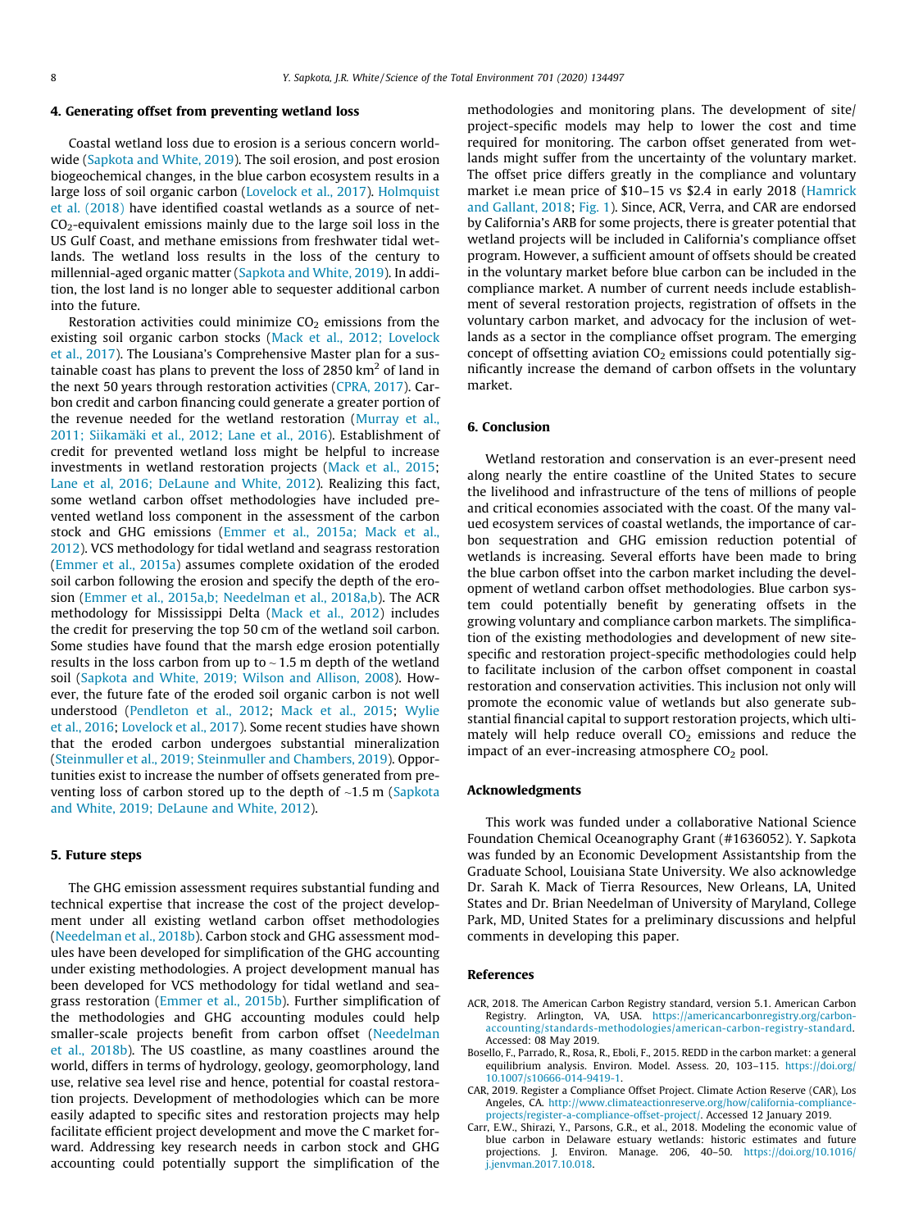#### <span id="page-7-0"></span>4. Generating offset from preventing wetland loss

Coastal wetland loss due to erosion is a serious concern worldwide ([Sapkota and White, 2019\)](#page-8-0). The soil erosion, and post erosion biogeochemical changes, in the blue carbon ecosystem results in a large loss of soil organic carbon ([Lovelock et al., 2017\)](#page-8-0). [Holmquist](#page-8-0) [et al. \(2018\)](#page-8-0) have identified coastal wetlands as a source of net- $CO<sub>2</sub>$ -equivalent emissions mainly due to the large soil loss in the US Gulf Coast, and methane emissions from freshwater tidal wetlands. The wetland loss results in the loss of the century to millennial-aged organic matter [\(Sapkota and White, 2019\)](#page-8-0). In addition, the lost land is no longer able to sequester additional carbon into the future.

Restoration activities could minimize  $CO<sub>2</sub>$  emissions from the existing soil organic carbon stocks [\(Mack et al., 2012; Lovelock](#page-8-0) [et al., 2017\)](#page-8-0). The Lousiana's Comprehensive Master plan for a sustainable coast has plans to prevent the loss of 2850  $km<sup>2</sup>$  of land in the next 50 years through restoration activities [\(CPRA, 2017](#page-8-0)). Carbon credit and carbon financing could generate a greater portion of the revenue needed for the wetland restoration ([Murray et al.,](#page-8-0) [2011; Siikamäki et al., 2012; Lane et al., 2016](#page-8-0)). Establishment of credit for prevented wetland loss might be helpful to increase investments in wetland restoration projects ([Mack et al., 2015;](#page-8-0) [Lane et al, 2016; DeLaune and White, 2012\)](#page-8-0). Realizing this fact, some wetland carbon offset methodologies have included prevented wetland loss component in the assessment of the carbon stock and GHG emissions [\(Emmer et al., 2015a; Mack et al.,](#page-8-0) [2012\)](#page-8-0). VCS methodology for tidal wetland and seagrass restoration ([Emmer et al., 2015a\)](#page-8-0) assumes complete oxidation of the eroded soil carbon following the erosion and specify the depth of the erosion [\(Emmer et al., 2015a,b; Needelman et al., 2018a,b\)](#page-8-0). The ACR methodology for Mississippi Delta [\(Mack et al., 2012](#page-8-0)) includes the credit for preserving the top 50 cm of the wetland soil carbon. Some studies have found that the marsh edge erosion potentially results in the loss carbon from up to  $\sim$  1.5 m depth of the wetland soil [\(Sapkota and White, 2019; Wilson and Allison, 2008](#page-8-0)). However, the future fate of the eroded soil organic carbon is not well understood ([Pendleton et al., 2012;](#page-8-0) [Mack et al., 2015;](#page-8-0) [Wylie](#page-8-0) [et al., 2016;](#page-8-0) [Lovelock et al., 2017](#page-8-0)). Some recent studies have shown that the eroded carbon undergoes substantial mineralization ([Steinmuller et al., 2019; Steinmuller and Chambers, 2019](#page-8-0)). Opportunities exist to increase the number of offsets generated from preventing loss of carbon stored up to the depth of ~1.5 m ([Sapkota](#page-8-0) [and White, 2019; DeLaune and White, 2012](#page-8-0)).

#### 5. Future steps

The GHG emission assessment requires substantial funding and technical expertise that increase the cost of the project development under all existing wetland carbon offset methodologies ([Needelman et al., 2018b\)](#page-8-0). Carbon stock and GHG assessment modules have been developed for simplification of the GHG accounting under existing methodologies. A project development manual has been developed for VCS methodology for tidal wetland and seagrass restoration [\(Emmer et al., 2015b\)](#page-8-0). Further simplification of the methodologies and GHG accounting modules could help smaller-scale projects benefit from carbon offset ([Needelman](#page-8-0) [et al., 2018b](#page-8-0)). The US coastline, as many coastlines around the world, differs in terms of hydrology, geology, geomorphology, land use, relative sea level rise and hence, potential for coastal restoration projects. Development of methodologies which can be more easily adapted to specific sites and restoration projects may help facilitate efficient project development and move the C market forward. Addressing key research needs in carbon stock and GHG accounting could potentially support the simplification of the

methodologies and monitoring plans. The development of site/ project-specific models may help to lower the cost and time required for monitoring. The carbon offset generated from wetlands might suffer from the uncertainty of the voluntary market. The offset price differs greatly in the compliance and voluntary market i.e mean price of \$10–15 vs \$2.4 in early 2018 ([Hamrick](#page-8-0) [and Gallant, 2018;](#page-8-0) [Fig. 1\)](#page-2-0). Since, ACR, Verra, and CAR are endorsed by California's ARB for some projects, there is greater potential that wetland projects will be included in California's compliance offset program. However, a sufficient amount of offsets should be created in the voluntary market before blue carbon can be included in the compliance market. A number of current needs include establishment of several restoration projects, registration of offsets in the voluntary carbon market, and advocacy for the inclusion of wetlands as a sector in the compliance offset program. The emerging concept of offsetting aviation  $CO<sub>2</sub>$  emissions could potentially significantly increase the demand of carbon offsets in the voluntary market.

### 6. Conclusion

Wetland restoration and conservation is an ever-present need along nearly the entire coastline of the United States to secure the livelihood and infrastructure of the tens of millions of people and critical economies associated with the coast. Of the many valued ecosystem services of coastal wetlands, the importance of carbon sequestration and GHG emission reduction potential of wetlands is increasing. Several efforts have been made to bring the blue carbon offset into the carbon market including the development of wetland carbon offset methodologies. Blue carbon system could potentially benefit by generating offsets in the growing voluntary and compliance carbon markets. The simplification of the existing methodologies and development of new sitespecific and restoration project-specific methodologies could help to facilitate inclusion of the carbon offset component in coastal restoration and conservation activities. This inclusion not only will promote the economic value of wetlands but also generate substantial financial capital to support restoration projects, which ultimately will help reduce overall  $CO<sub>2</sub>$  emissions and reduce the impact of an ever-increasing atmosphere  $CO<sub>2</sub>$  pool.

#### Acknowledgments

This work was funded under a collaborative National Science Foundation Chemical Oceanography Grant (#1636052). Y. Sapkota was funded by an Economic Development Assistantship from the Graduate School, Louisiana State University. We also acknowledge Dr. Sarah K. Mack of Tierra Resources, New Orleans, LA, United States and Dr. Brian Needelman of University of Maryland, College Park, MD, United States for a preliminary discussions and helpful comments in developing this paper.

#### References

- ACR, 2018. The American Carbon Registry standard, version 5.1. American Carbon Registry. Arlington, VA, USA. [https://americancarbonregistry.org/carbon](https://americancarbonregistry.org/carbon-accounting/standards-methodologies/american-carbon-registry-standard)[accounting/standards-methodologies/american-carbon-registry-standard](https://americancarbonregistry.org/carbon-accounting/standards-methodologies/american-carbon-registry-standard). Accessed: 08 May 2019.
- Bosello, F., Parrado, R., Rosa, R., Eboli, F., 2015. REDD in the carbon market: a general equilibrium analysis. Environ. Model. Assess. 20, 103–115. [https://doi.org/](https://doi.org/10.1007/s10666-014-9419-1) [10.1007/s10666-014-9419-1.](https://doi.org/10.1007/s10666-014-9419-1)
- CAR, 2019. Register a Compliance Offset Project. Climate Action Reserve (CAR), Los Angeles, CA. [http://www.climateactionreserve.org/how/california-compliance](http://www.climateactionreserve.org/how/california-compliance-projects/register-a-compliance-offset-project/)[projects/register-a-compliance-offset-project/](http://www.climateactionreserve.org/how/california-compliance-projects/register-a-compliance-offset-project/). Accessed 12 January 2019.
- Carr, E.W., Shirazi, Y., Parsons, G.R., et al., 2018. Modeling the economic value of blue carbon in Delaware estuary wetlands: historic estimates and future projections. J. Environ. Manage. 206, 40–50. [https://doi.org/10.1016/](https://doi.org/10.1016/j.jenvman.2017.10.018) [j.jenvman.2017.10.018](https://doi.org/10.1016/j.jenvman.2017.10.018).